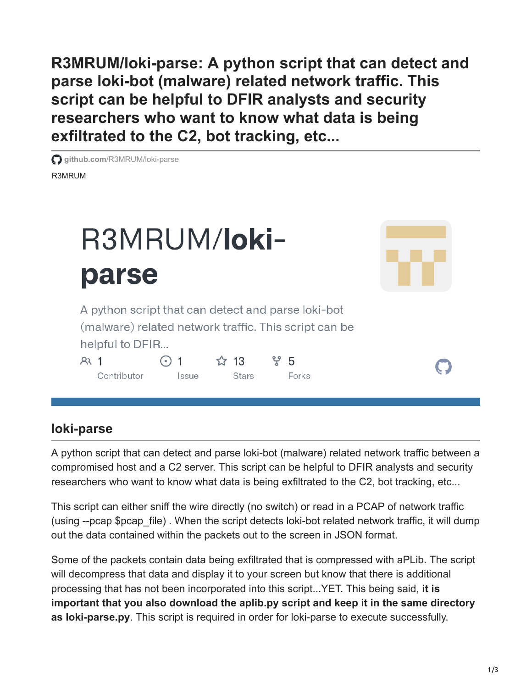**R3MRUM/loki-parse: A python script that can detect and parse loki-bot (malware) related network traffic. This script can be helpful to DFIR analysts and security researchers who want to know what data is being exfiltrated to the C2, bot tracking, etc...**

R3MRUM **github.com**[/R3MRUM/loki-parse](https://github.com/R3MRUM/loki-parse)



## **loki-parse**

A python script that can detect and parse loki-bot (malware) related network traffic between a compromised host and a C2 server. This script can be helpful to DFIR analysts and security researchers who want to know what data is being exfiltrated to the C2, bot tracking, etc...

This script can either sniff the wire directly (no switch) or read in a PCAP of network traffic (using --pcap \$pcap file). When the script detects loki-bot related network traffic, it will dump out the data contained within the packets out to the screen in JSON format.

Some of the packets contain data being exfiltrated that is compressed with aPLib. The script will decompress that data and display it to your screen but know that there is additional processing that has not been incorporated into this script...YET. This being said, **it is important that you also download the aplib.py script and keep it in the same directory as loki-parse.py**. This script is required in order for loki-parse to execute successfully.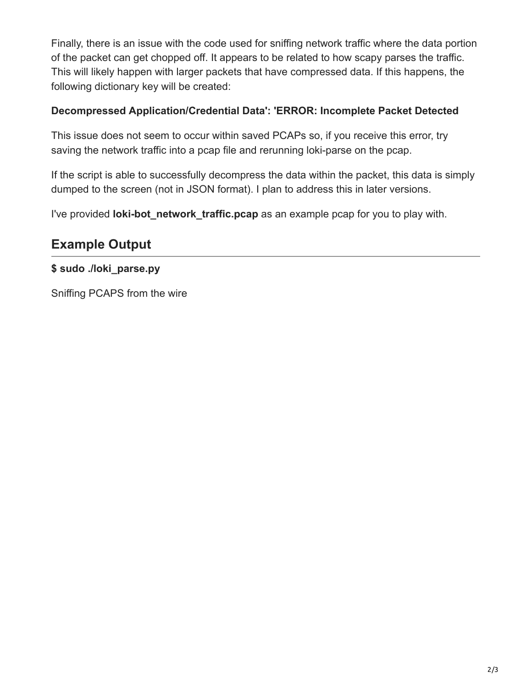Finally, there is an issue with the code used for sniffing network traffic where the data portion of the packet can get chopped off. It appears to be related to how scapy parses the traffic. This will likely happen with larger packets that have compressed data. If this happens, the following dictionary key will be created:

## **Decompressed Application/Credential Data': 'ERROR: Incomplete Packet Detected**

This issue does not seem to occur within saved PCAPs so, if you receive this error, try saving the network traffic into a pcap file and rerunning loki-parse on the pcap.

If the script is able to successfully decompress the data within the packet, this data is simply dumped to the screen (not in JSON format). I plan to address this in later versions.

I've provided **loki-bot\_network\_traffic.pcap** as an example pcap for you to play with.

## **Example Output**

**\$ sudo ./loki\_parse.py**

Sniffing PCAPS from the wire